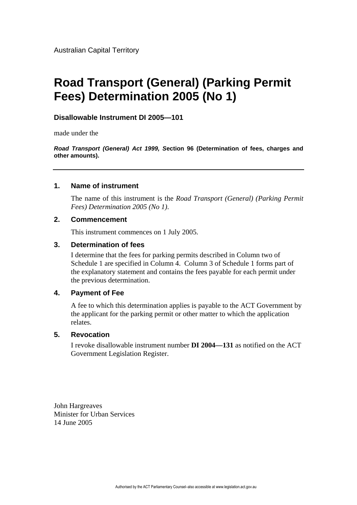Australian Capital Territory

# **Road Transport (General) (Parking Permit Fees) Determination 2005 (No 1)**

## **Disallowable Instrument DI 2005—101**

made under the

*Road Transport (General) Act 1999, S***ection 96 (Determination of fees, charges and other amounts).** 

### **1. Name of instrument**

The name of this instrument is the *Road Transport (General) (Parking Permit Fees) Determination 2005 (No 1)*.

## **2. Commencement**

This instrument commences on 1 July 2005.

#### **3. Determination of fees**

I determine that the fees for parking permits described in Column two of Schedule 1 are specified in Column 4. Column 3 of Schedule 1 forms part of the explanatory statement and contains the fees payable for each permit under the previous determination.

## **4. Payment of Fee**

A fee to which this determination applies is payable to the ACT Government by the applicant for the parking permit or other matter to which the application relates.

#### **5. Revocation**

I revoke disallowable instrument number **DI 2004—131** as notified on the ACT Government Legislation Register.

John Hargreaves Minister for Urban Services 14 June 2005